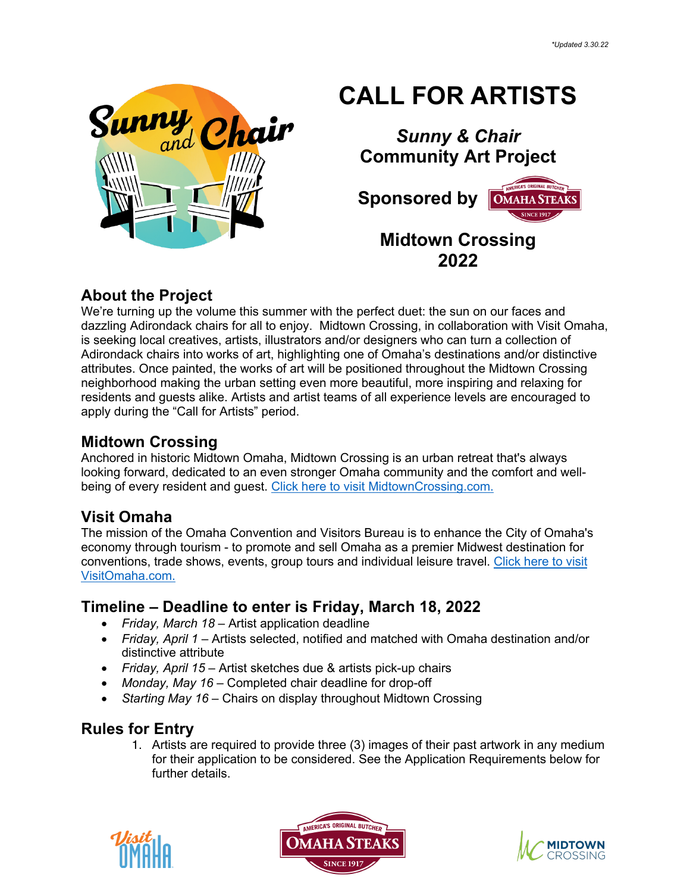

# **CALL FOR ARTISTS**

# *Sunny & Chair* **Community Art Project**

 **Sponsored by OMAHA STEAKS** 

## **Midtown Crossing 2022**

#### **About the Project**

We're turning up the volume this summer with the perfect duet: the sun on our faces and dazzling Adirondack chairs for all to enjoy. Midtown Crossing, in collaboration with Visit Omaha, is seeking local creatives, artists, illustrators and/or designers who can turn a collection of Adirondack chairs into works of art, highlighting one of Omaha's destinations and/or distinctive attributes. Once painted, the works of art will be positioned throughout the Midtown Crossing neighborhood making the urban setting even more beautiful, more inspiring and relaxing for residents and guests alike. Artists and artist teams of all experience levels are encouraged to apply during the "Call for Artists" period.

#### **Midtown Crossing**

Anchored in historic Midtown Omaha, Midtown Crossing is an urban retreat that's always looking forward, dedicated to an even stronger Omaha community and the comfort and wellbeing of every resident and guest. Click here to visit MidtownCrossing.com.

## **Visit Omaha**

The mission of the Omaha Convention and Visitors Bureau is to enhance the City of Omaha's economy through tourism - to promote and sell Omaha as a premier Midwest destination for conventions, trade shows, events, group tours and individual leisure travel. Click here to visit VisitOmaha.com.

## **Timeline – Deadline to enter is Friday, March 18, 2022**

- *Friday, March 18* Artist application deadline
- *Friday, April 1* Artists selected, notified and matched with Omaha destination and/or distinctive attribute
- *Friday, April 15* Artist sketches due & artists pick-up chairs
- *Monday, May 16* Completed chair deadline for drop-off
- *Starting May 16* Chairs on display throughout Midtown Crossing

## **Rules for Entry**

1. Artists are required to provide three (3) images of their past artwork in any medium for their application to be considered. See the Application Requirements below for further details.





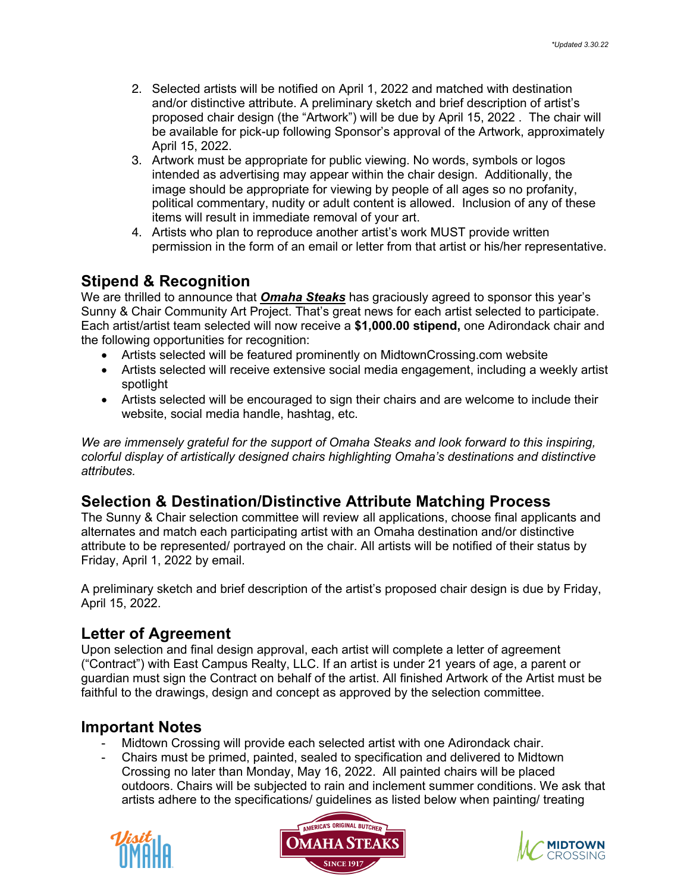- 2. Selected artists will be notified on April 1, 2022 and matched with destination and/or distinctive attribute. A preliminary sketch and brief description of artist's proposed chair design (the "Artwork") will be due by April 15, 2022 . The chair will be available for pick-up following Sponsor's approval of the Artwork, approximately April 15, 2022.
- 3. Artwork must be appropriate for public viewing. No words, symbols or logos intended as advertising may appear within the chair design. Additionally, the image should be appropriate for viewing by people of all ages so no profanity, political commentary, nudity or adult content is allowed. Inclusion of any of these items will result in immediate removal of your art.
- 4. Artists who plan to reproduce another artist's work MUST provide written permission in the form of an email or letter from that artist or his/her representative.

#### **Stipend & Recognition**

We are thrilled to announce that *Omaha Steaks* has graciously agreed to sponsor this year's Sunny & Chair Community Art Project. That's great news for each artist selected to participate. Each artist/artist team selected will now receive a **\$1,000.00 stipend,** one Adirondack chair and the following opportunities for recognition:

- Artists selected will be featured prominently on MidtownCrossing.com website
- Artists selected will receive extensive social media engagement, including a weekly artist spotlight
- Artists selected will be encouraged to sign their chairs and are welcome to include their website, social media handle, hashtag, etc.

*We are immensely grateful for the support of Omaha Steaks and look forward to this inspiring, colorful display of artistically designed chairs highlighting Omaha's destinations and distinctive attributes.*

#### **Selection & Destination/Distinctive Attribute Matching Process**

The Sunny & Chair selection committee will review all applications, choose final applicants and alternates and match each participating artist with an Omaha destination and/or distinctive attribute to be represented/ portrayed on the chair. All artists will be notified of their status by Friday, April 1, 2022 by email.

A preliminary sketch and brief description of the artist's proposed chair design is due by Friday, April 15, 2022.

#### **Letter of Agreement**

Upon selection and final design approval, each artist will complete a letter of agreement ("Contract") with East Campus Realty, LLC. If an artist is under 21 years of age, a parent or guardian must sign the Contract on behalf of the artist. All finished Artwork of the Artist must be faithful to the drawings, design and concept as approved by the selection committee.

#### **Important Notes**

- Midtown Crossing will provide each selected artist with one Adirondack chair.
- Chairs must be primed, painted, sealed to specification and delivered to Midtown Crossing no later than Monday, May 16, 2022. All painted chairs will be placed outdoors. Chairs will be subjected to rain and inclement summer conditions. We ask that artists adhere to the specifications/ guidelines as listed below when painting/ treating